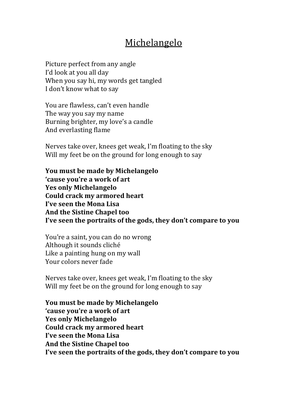## **Michelangelo**

Picture perfect from any angle I'd look at you all day When you say hi, my words get tangled I don't know what to say

You are flawless, can't even handle The way you say my name Burning brighter, my love's a candle And everlasting flame

Nerves take over, knees get weak, I'm floating to the sky Will my feet be on the ground for long enough to say

**You must be made by Michelangelo 'cause you're a work of art Yes only Michelangelo Could crack my armored heart I've seen the Mona Lisa And the Sistine Chapel too I've seen the portraits of the gods, they don't compare to you** 

You're a saint, you can do no wrong Although it sounds cliché Like a painting hung on my wall Your colors never fade

Nerves take over, knees get weak, I'm floating to the sky Will my feet be on the ground for long enough to say

**You must be made by Michelangelo 'cause you're a work of art Yes only Michelangelo Could crack my armored heart I've seen the Mona Lisa And the Sistine Chapel too** I've seen the portraits of the gods, they don't compare to you